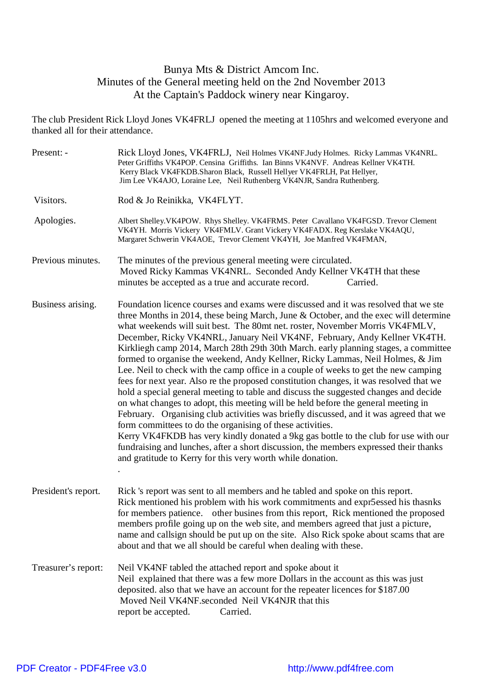## Bunya Mts & District Amcom Inc. Minutes of the General meeting held on the 2nd November 2013 At the Captain's Paddock winery near Kingaroy.

The club President Rick Lloyd Jones VK4FRLJ opened the meeting at 1105hrs and welcomed everyone and thanked all for their attendance.

| Present: -          | Rick Lloyd Jones, VK4FRLJ, Neil Holmes VK4NF.Judy Holmes. Ricky Lammas VK4NRL.<br>Peter Griffiths VK4POP. Censina Griffiths. Ian Binns VK4NVF. Andreas Kellner VK4TH.<br>Kerry Black VK4FKDB.Sharon Black, Russell Hellyer VK4FRLH, Pat Hellyer,<br>Jim Lee VK4AJO, Loraine Lee, Neil Ruthenberg VK4NJR, Sandra Ruthenberg.                                                                                                                                                                                                                                                                                                                                                                                                                                                                                                                                                                                                                                                                                                                                                                                                                                                                                                                                                         |
|---------------------|-------------------------------------------------------------------------------------------------------------------------------------------------------------------------------------------------------------------------------------------------------------------------------------------------------------------------------------------------------------------------------------------------------------------------------------------------------------------------------------------------------------------------------------------------------------------------------------------------------------------------------------------------------------------------------------------------------------------------------------------------------------------------------------------------------------------------------------------------------------------------------------------------------------------------------------------------------------------------------------------------------------------------------------------------------------------------------------------------------------------------------------------------------------------------------------------------------------------------------------------------------------------------------------|
| Visitors.           | Rod & Jo Reinikka, VK4FLYT.                                                                                                                                                                                                                                                                                                                                                                                                                                                                                                                                                                                                                                                                                                                                                                                                                                                                                                                                                                                                                                                                                                                                                                                                                                                         |
| Apologies.          | Albert Shelley. VK4POW. Rhys Shelley. VK4FRMS. Peter Cavallano VK4FGSD. Trevor Clement<br>VK4YH. Morris Vickery VK4FMLV. Grant Vickery VK4FADX. Reg Kerslake VK4AQU,<br>Margaret Schwerin VK4AOE, Trevor Clement VK4YH, Joe Manfred VK4FMAN,                                                                                                                                                                                                                                                                                                                                                                                                                                                                                                                                                                                                                                                                                                                                                                                                                                                                                                                                                                                                                                        |
| Previous minutes.   | The minutes of the previous general meeting were circulated.<br>Moved Ricky Kammas VK4NRL. Seconded Andy Kellner VK4TH that these<br>minutes be accepted as a true and accurate record.<br>Carried.                                                                                                                                                                                                                                                                                                                                                                                                                                                                                                                                                                                                                                                                                                                                                                                                                                                                                                                                                                                                                                                                                 |
| Business arising.   | Foundation licence courses and exams were discussed and it was resolved that we ste<br>three Months in 2014, these being March, June & October, and the exec will determine<br>what weekends will suit best. The 80mt net. roster, November Morris VK4FMLV,<br>December, Ricky VK4NRL, January Neil VK4NF, February, Andy Kellner VK4TH.<br>Kirkliegh camp 2014, March 28th 29th 30th March. early planning stages, a committee<br>formed to organise the weekend, Andy Kellner, Ricky Lammas, Neil Holmes, & Jim<br>Lee. Neil to check with the camp office in a couple of weeks to get the new camping<br>fees for next year. Also re the proposed constitution changes, it was resolved that we<br>hold a special general meeting to table and discuss the suggested changes and decide<br>on what changes to adopt, this meeting will be held before the general meeting in<br>February. Organising club activities was briefly discussed, and it was agreed that we<br>form committees to do the organising of these activities.<br>Kerry VK4FKDB has very kindly donated a 9kg gas bottle to the club for use with our<br>fundraising and lunches, after a short discussion, the members expressed their thanks<br>and gratitude to Kerry for this very worth while donation. |
| President's report. | Rick 's report was sent to all members and he tabled and spoke on this report.<br>Rick mentioned his problem with his work commitments and expr5essed his thasnks<br>for members patience. other busines from this report, Rick mentioned the proposed<br>members profile going up on the web site, and members agreed that just a picture,<br>name and callsign should be put up on the site. Also Rick spoke about scams that are<br>about and that we all should be careful when dealing with these.                                                                                                                                                                                                                                                                                                                                                                                                                                                                                                                                                                                                                                                                                                                                                                             |
| Treasurer's report: | Neil VK4NF tabled the attached report and spoke about it<br>Neil explained that there was a few more Dollars in the account as this was just<br>deposited. also that we have an account for the repeater licences for \$187.00<br>Moved Neil VK4NF.seconded Neil VK4NJR that this<br>report be accepted.<br>Carried.                                                                                                                                                                                                                                                                                                                                                                                                                                                                                                                                                                                                                                                                                                                                                                                                                                                                                                                                                                |